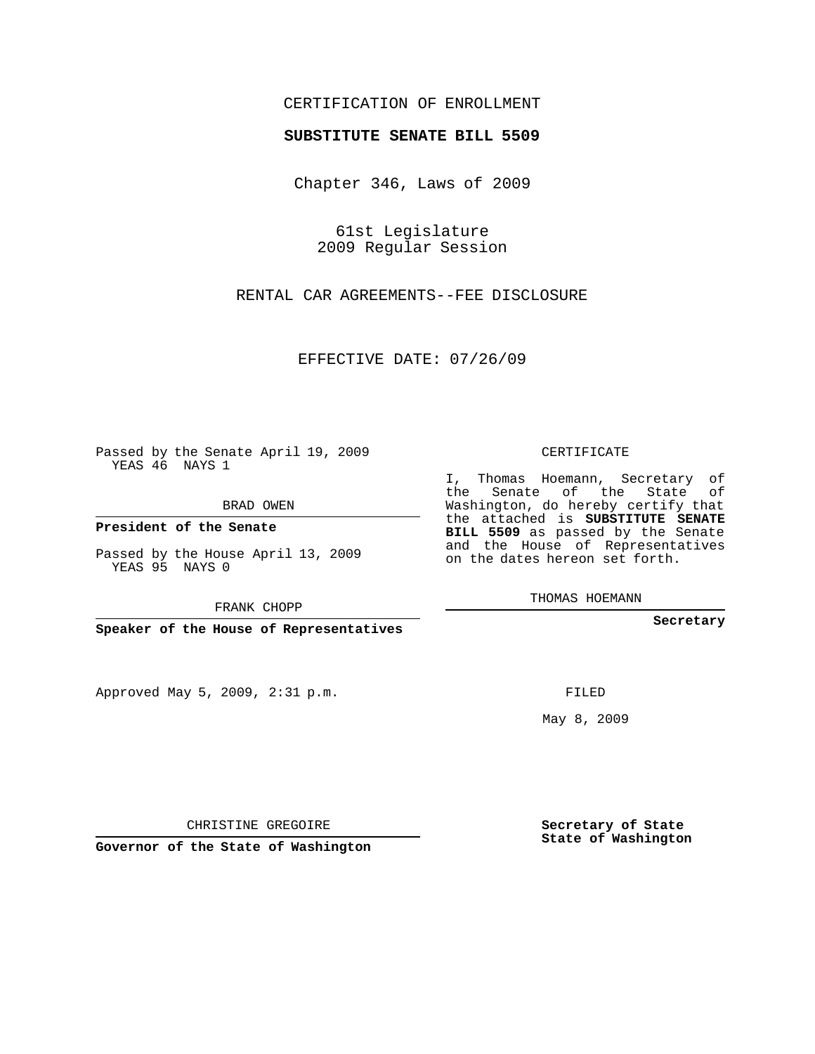## CERTIFICATION OF ENROLLMENT

## **SUBSTITUTE SENATE BILL 5509**

Chapter 346, Laws of 2009

61st Legislature 2009 Regular Session

RENTAL CAR AGREEMENTS--FEE DISCLOSURE

EFFECTIVE DATE: 07/26/09

Passed by the Senate April 19, 2009 YEAS 46 NAYS 1

BRAD OWEN

**President of the Senate**

Passed by the House April 13, 2009 YEAS 95 NAYS 0

FRANK CHOPP

**Speaker of the House of Representatives**

Approved May 5, 2009, 2:31 p.m.

CERTIFICATE

I, Thomas Hoemann, Secretary of the Senate of the State of Washington, do hereby certify that the attached is **SUBSTITUTE SENATE BILL 5509** as passed by the Senate and the House of Representatives on the dates hereon set forth.

THOMAS HOEMANN

**Secretary**

FILED

May 8, 2009

**Secretary of State State of Washington**

CHRISTINE GREGOIRE

**Governor of the State of Washington**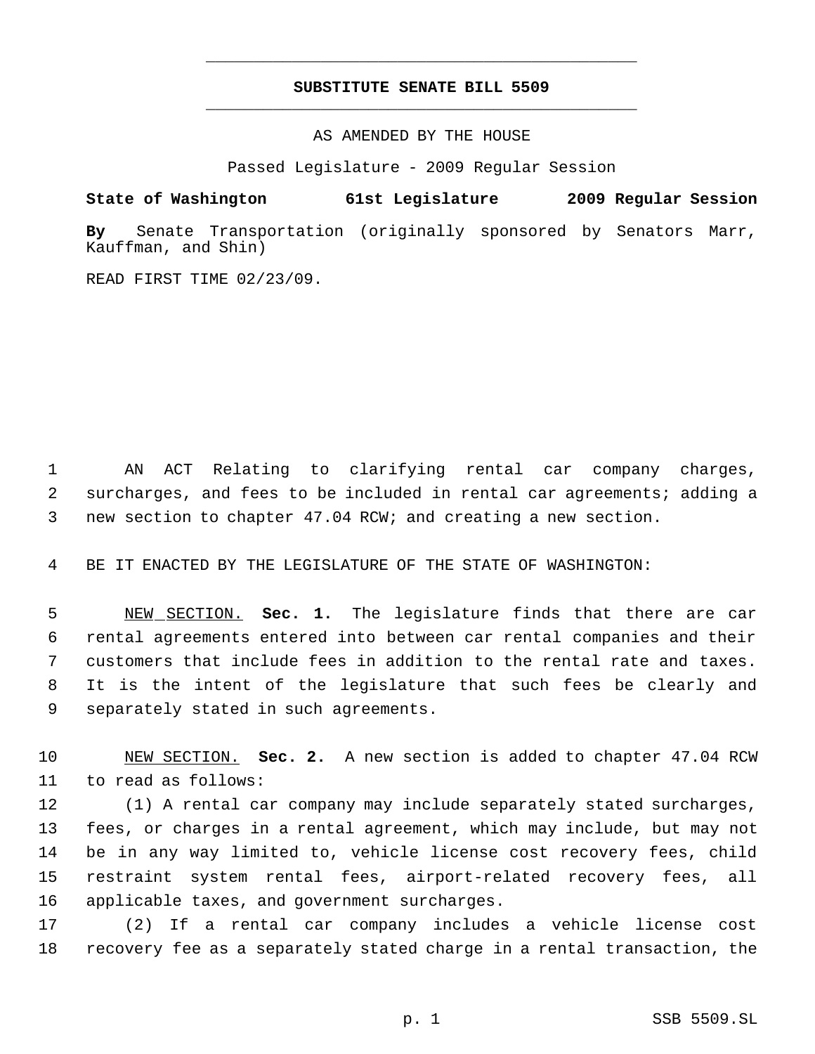## **SUBSTITUTE SENATE BILL 5509** \_\_\_\_\_\_\_\_\_\_\_\_\_\_\_\_\_\_\_\_\_\_\_\_\_\_\_\_\_\_\_\_\_\_\_\_\_\_\_\_\_\_\_\_\_

\_\_\_\_\_\_\_\_\_\_\_\_\_\_\_\_\_\_\_\_\_\_\_\_\_\_\_\_\_\_\_\_\_\_\_\_\_\_\_\_\_\_\_\_\_

AS AMENDED BY THE HOUSE

Passed Legislature - 2009 Regular Session

## **State of Washington 61st Legislature 2009 Regular Session**

**By** Senate Transportation (originally sponsored by Senators Marr, Kauffman, and Shin)

READ FIRST TIME 02/23/09.

 AN ACT Relating to clarifying rental car company charges, surcharges, and fees to be included in rental car agreements; adding a new section to chapter 47.04 RCW; and creating a new section.

BE IT ENACTED BY THE LEGISLATURE OF THE STATE OF WASHINGTON:

 NEW SECTION. **Sec. 1.** The legislature finds that there are car rental agreements entered into between car rental companies and their customers that include fees in addition to the rental rate and taxes. It is the intent of the legislature that such fees be clearly and separately stated in such agreements.

 NEW SECTION. **Sec. 2.** A new section is added to chapter 47.04 RCW to read as follows:

 (1) A rental car company may include separately stated surcharges, fees, or charges in a rental agreement, which may include, but may not be in any way limited to, vehicle license cost recovery fees, child restraint system rental fees, airport-related recovery fees, all applicable taxes, and government surcharges.

 (2) If a rental car company includes a vehicle license cost recovery fee as a separately stated charge in a rental transaction, the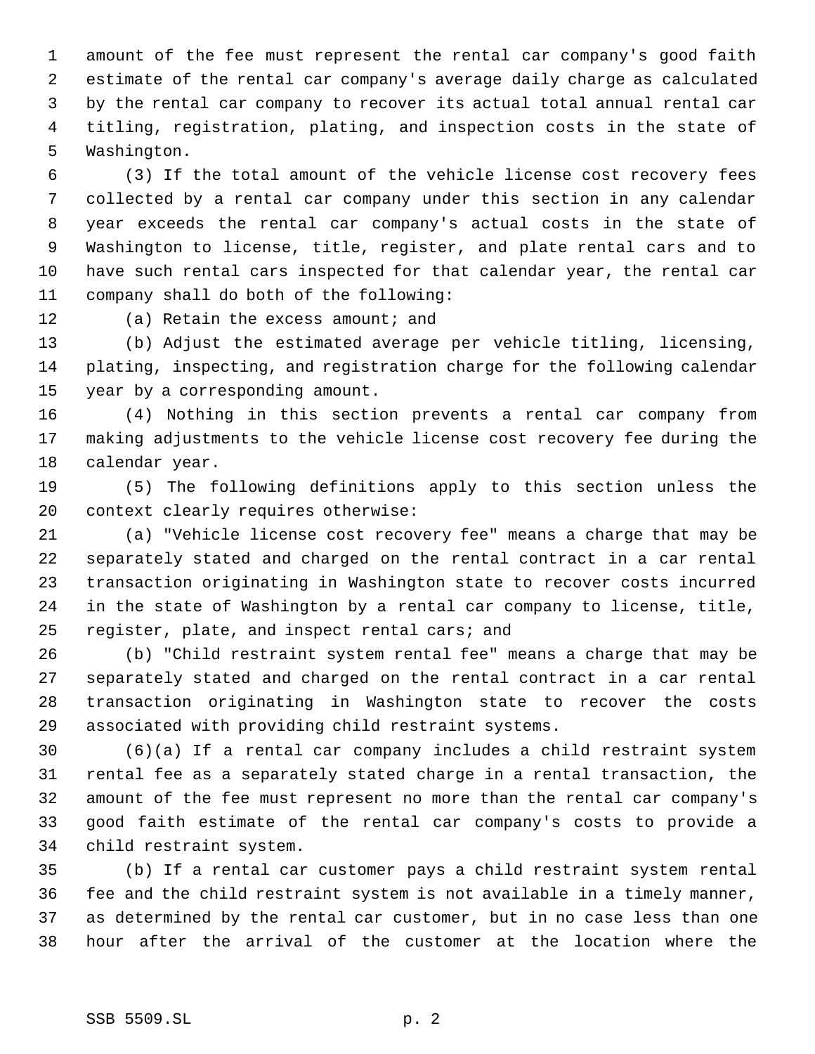amount of the fee must represent the rental car company's good faith estimate of the rental car company's average daily charge as calculated by the rental car company to recover its actual total annual rental car titling, registration, plating, and inspection costs in the state of Washington.

 (3) If the total amount of the vehicle license cost recovery fees collected by a rental car company under this section in any calendar year exceeds the rental car company's actual costs in the state of Washington to license, title, register, and plate rental cars and to have such rental cars inspected for that calendar year, the rental car company shall do both of the following:

12 (a) Retain the excess amount; and

 (b) Adjust the estimated average per vehicle titling, licensing, plating, inspecting, and registration charge for the following calendar year by a corresponding amount.

 (4) Nothing in this section prevents a rental car company from making adjustments to the vehicle license cost recovery fee during the calendar year.

 (5) The following definitions apply to this section unless the context clearly requires otherwise:

 (a) "Vehicle license cost recovery fee" means a charge that may be separately stated and charged on the rental contract in a car rental transaction originating in Washington state to recover costs incurred in the state of Washington by a rental car company to license, title, register, plate, and inspect rental cars; and

 (b) "Child restraint system rental fee" means a charge that may be separately stated and charged on the rental contract in a car rental transaction originating in Washington state to recover the costs associated with providing child restraint systems.

 (6)(a) If a rental car company includes a child restraint system rental fee as a separately stated charge in a rental transaction, the amount of the fee must represent no more than the rental car company's good faith estimate of the rental car company's costs to provide a child restraint system.

 (b) If a rental car customer pays a child restraint system rental fee and the child restraint system is not available in a timely manner, as determined by the rental car customer, but in no case less than one hour after the arrival of the customer at the location where the